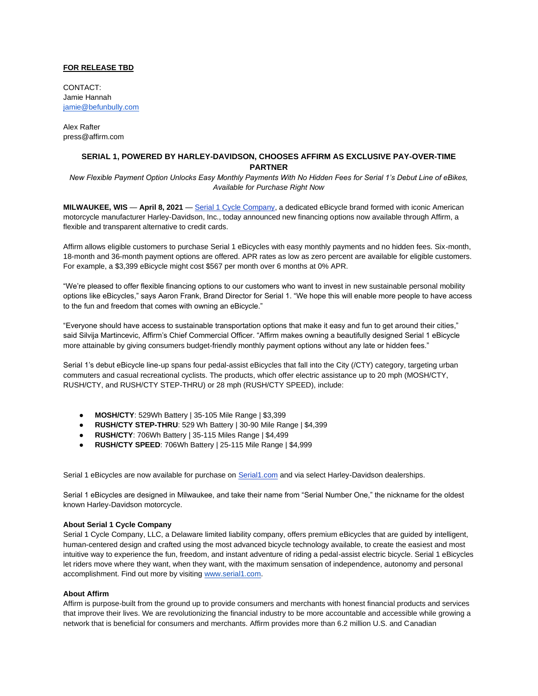## **FOR RELEASE TBD**

CONTACT: Jamie Hannah [jamie@befunbully.com](mailto:jamie@befunbully.com)

Alex Rafter press@affirm.com

## **SERIAL 1, POWERED BY HARLEY-DAVIDSON, CHOOSES AFFIRM AS EXCLUSIVE PAY-OVER-TIME PARTNER**

*New Flexible Payment Option Unlocks Easy Monthly Payments With No Hidden Fees for Serial 1's Debut Line of eBikes, Available for Purchase Right Now* 

**MILWAUKEE, WIS** — **April 8, 2021** [—](http://www.serial1.com/) [Serial 1 Cycle Company,](http://www.serial1.com/) a dedicated eBicycle brand formed with iconic American motorcycle manufacturer Harley-Davidson, Inc., today announced new financing options now available through Affirm, a flexible and transparent alternative to credit cards.

Affirm allows eligible customers to purchase Serial 1 eBicycles with easy monthly payments and no hidden fees. Six-month, 18-month and 36-month payment options are offered. APR rates as low as zero percent are available for eligible customers. For example, a \$3,399 eBicycle might cost \$567 per month over 6 months at 0% APR.

"We're pleased to offer flexible financing options to our customers who want to invest in new sustainable personal mobility options like eBicycles," says Aaron Frank, Brand Director for Serial 1. "We hope this will enable more people to have access to the fun and freedom that comes with owning an eBicycle."

"Everyone should have access to sustainable transportation options that make it easy and fun to get around their cities," said Silvija Martincevic, Affirm's Chief Commercial Officer. "Affirm makes owning a beautifully designed Serial 1 eBicycle more attainable by giving consumers budget-friendly monthly payment options without any late or hidden fees."

Serial 1's debut eBicycle line-up spans four pedal-assist eBicycles that fall into the City (/CTY) category, targeting urban commuters and casual recreational cyclists. The products, which offer electric assistance up to 20 mph (MOSH/CTY, RUSH/CTY, and RUSH/CTY STEP-THRU) or 28 mph (RUSH/CTY SPEED), include:

- **MOSH/CTY**: 529Wh Battery | 35-105 Mile Range | \$3,399
- **RUSH/CTY STEP-THRU**: 529 Wh Battery | 30-90 Mile Range | \$4,399
- **RUSH/CTY**: 706Wh Battery | 35-115 Miles Range | \$4,499
- **RUSH/CTY SPEED**: 706Wh Battery | 25-115 Mile Range | \$4,999

Serial 1 eBicycles are now available for purchase on [Serial1.com](http://www.serial1.com/) and via select Harley-Davidson dealerships.

Serial 1 eBicycles are designed in Milwaukee, and take their name from "Serial Number One," the nickname for the oldest known Harley-Davidson motorcycle.

## **About Serial 1 Cycle Company**

Serial 1 Cycle Company, LLC, a Delaware limited liability company, offers premium eBicycles that are guided by intelligent, human-centered design and crafted using the most advanced bicycle technology available, to create the easiest and most intuitive way to experience the fun, freedom, and instant adventure of riding a pedal-assist electric bicycle. Serial 1 eBicycles let riders move where they want, when they want, with the maximum sensation of independence, autonomy and personal accomplishment. Find out more by visitin[g](http://www.serial1.com/) [www.serial1.com.](http://www.serial1.com/)

## **About Affirm**

Affirm is purpose-built from the ground up to provide consumers and merchants with honest financial products and services that improve their lives. We are revolutionizing the financial industry to be more accountable and accessible while growing a network that is beneficial for consumers and merchants. Affirm provides more than 6.2 million U.S. and Canadian